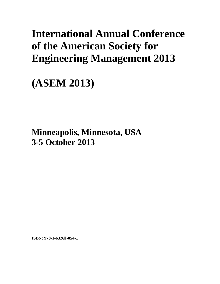# **International Annual Conference of the American Society for Engineering Management 2013**

**(ASEM 2013)** 

**Minneapolis, Minnesota, USA 3-5 October 2013**

**ISBN: 978-1-6326-054-1**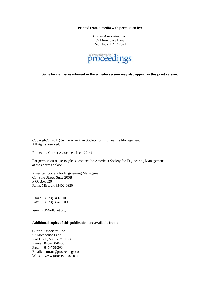**Printed from e-media with permission by:** 

Curran Associates, Inc. 57 Morehouse Lane Red Hook, NY 12571



**Some format issues inherent in the e-media version may also appear in this print version.** 

Copyright© (2015) by the American Society for Engineering Management All rights reserved.

Printed by Curran Associates, Inc. (2014)

For permission requests, please contact the American Society for Engineering Management at the address below.

American Society for Engineering Management 614 Pine Street, Suite 206B P.O. Box 820 Rolla, Missouri 65402-0820

Phone: (573) 341-2101 Fax: (573) 364-3500

asemmsd@rollanet.org

# **Additional copies of this publication are available from:**

Curran Associates, Inc. 57 Morehouse Lane Red Hook, NY 12571 USA Phone: 845-758-0400 Fax: 845-758-2634 Email: curran@proceedings.com Web: www.proceedings.com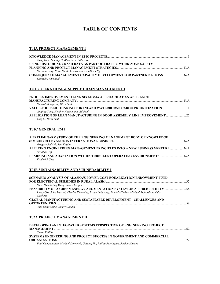# **TABLE OF CONTENTS**

#### **T01A PROJECT MANAGEMENT I**

| Tariq Oun, Timothy D. Blackburn, Bill Olson                     |  |
|-----------------------------------------------------------------|--|
| USING HISTORICAL CRASH DATA AS PART OF TRAFFIC WORK ZONE SAFETY |  |
|                                                                 |  |
| Suzanna Long, Brian Smith, Carlos Sun, Ean-Harn Ng              |  |
|                                                                 |  |
| Kenneth McDonald                                                |  |

# **TO1B OPERATIONS & SUPPLY CHAIN MANAGEMENT I**

| <b>PROCESS IMPROVEMENT USING SIX SIGMA APPROACH AT AN APPLIANCE</b> |  |
|---------------------------------------------------------------------|--|
|                                                                     |  |
| Shamal Bhingarde, Hiral Shah                                        |  |
|                                                                     |  |
| Jingjing Tong, Heather Nachtmann, Ed Pohl                           |  |
|                                                                     |  |
| Ling Li, Hiral Shah                                                 |  |

# **T01C GENERAL EM I**

| A PRELIMINARY STUDY OF THE ENGINEERING MANAGEMENT BODY OF KNOWLEDGE         |  |
|-----------------------------------------------------------------------------|--|
|                                                                             |  |
| Gregory Sedrick, Rita Engler                                                |  |
| APPLYING ENGINEERING MANAGEMENT PRINCIPLES INTO A NEW BUSINESS VENTURE  N/A |  |
| Neslihan Alp                                                                |  |
|                                                                             |  |
| Frederick Sexe                                                              |  |

#### **T01E SUSTAINABILITY AND VULNERABILITY I**

| <b>SCENARIO ANALYSIS OF ALASKA'S POWER COST EQUALIZATION ENDOWMENT FUND</b>                                             |      |
|-------------------------------------------------------------------------------------------------------------------------|------|
|                                                                                                                         |      |
| Steve HsuehMing Wang, James Casper                                                                                      |      |
| FEASIBILITY OF A GREEN ENERGY AUGMENTATION SYSTEM ON A PUBLIC UTILITY  58                                               |      |
| Leroy Cox, John Martini, Charles Flemming, Bruce Inthavong, Eric McCleskey, Michael Richardson, Odis<br><b>Stephens</b> |      |
| <b>GLOBAL MANUFACTURING AND SUSTAINABLE DEVELOPMENT - CHALLENGES AND</b>                                                |      |
|                                                                                                                         | - 58 |
| Akin Olufowoshe, Jimmy Gandhi                                                                                           |      |
|                                                                                                                         |      |

#### **T02A PROJECT MANAGEMENT II**

| DEVELOPING AN INTEGRATED SYSTEMS PERSPECTIVE OF ENGINEERING PROJECT               |  |
|-----------------------------------------------------------------------------------|--|
|                                                                                   |  |
| Simon Philhin                                                                     |  |
| SYSTEMS ENGINEERING AND PROJECT SUCCESS IN GOVERNMENT AND COMMERCIAL              |  |
|                                                                                   |  |
| Paul Componation, Michael Dorneich, Guiping Hu, Phillip Farrington, Jordan Hansen |  |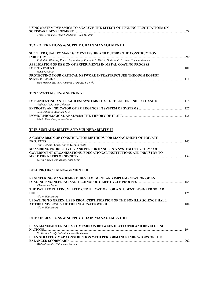| USING SYSTEM DYNAMICS TO ANALYZE THE EFFECT OF FUNDING FLUCTUATIONS ON |  |
|------------------------------------------------------------------------|--|
|                                                                        |  |
| Travis Trammell. Stuart Madnick. Allen Moulton                         |  |

# **T02B OPERATIONS & SUPPLY CHAIN MANAGEMENT II**

| SUPPLIER QUALITY MANAGEMENT INSIDE AND OUTSIDE THE CONSTRUCTION                            |  |
|--------------------------------------------------------------------------------------------|--|
| Rufaidah AlMaian, Kim LaScola Needy, Kenneth D. Walsh, Thais da C. L. Alves, Yoshua Neuman |  |
| APPLICATION OF DESIGN OF EXPERIMENTS IN METAL COATING PROCESS                              |  |
| Mayur Mohite                                                                               |  |
| PROTECTING YOUR CRITICAL NETWORK INFRASTRUCTURE THROUGH ROBUST                             |  |
| Ivan Hernandez, Jose Ramirez-Marquez, Ed Pohl                                              |  |

# **T02C SYSTEMS ENGINEERING I**

| Andreas Tolk. John Johnson   |  |
|------------------------------|--|
|                              |  |
| John Johnson, Andreas Tolk   |  |
|                              |  |
| Mario Beruvides, Jaime Cantu |  |

#### **T02E SUSTAINABILITY AND VULNERABILITY II**

| A COMPARISON OF CONSTRUCTION METHODS FOR MANAGEMENT OF PRIVATE     |     |
|--------------------------------------------------------------------|-----|
|                                                                    | 147 |
| Aldo McLean, Corey Rorex, Gordon Smith                             |     |
| MEASURING PRODUCTIVITY AND PERFORMANCE IN A SYSTEM OF SYSTEMS OF   |     |
| GOVERNMENT ORGANIZATIONS, EDUCATIONAL INSTITUTIONS AND INDUSTRY TO |     |
|                                                                    | 154 |
| David Wyrick, Jon Ilseng, Atila Ertas                              |     |

# **F01A PROJECT MANAGEMENT III**

| <b>ENGINEERING MANAGEMENT: DEVELOPMENT AND IMPLEMENTATION OF AN</b>    |     |
|------------------------------------------------------------------------|-----|
|                                                                        |     |
| Charmaine Light                                                        |     |
| THE PATH TO PLATINUM: LEED CERTIFICATION FOR A STUDENT DESIGNED SOLAR  |     |
|                                                                        |     |
| Alison Whittemore                                                      |     |
| UPDATING TO GREEN: LEED EBOM CERTIFICATION OF THE BONILLA SCIENCE HALL |     |
|                                                                        | 184 |
| Alison Whittomore                                                      |     |

#### *Alison Whittemore*

# **F01B OPERATIONS & SUPPLY CHAIN MANAGEMENT III**

| LEAN MANUFACTURING: A COMPARISON BETWEEN DEVELOPED AND DEVELOPING        |      |
|--------------------------------------------------------------------------|------|
|                                                                          | 194  |
| Sri Dattha Reddy Palwai, Chinweike Eseonu                                |      |
| <b>LEAN STRATEGY MAP CONSTRICTION WITH PERFORMANCE INDICATORS OF THE</b> |      |
|                                                                          | -202 |
| Waleed Khalid. Chinweike Eseonu                                          |      |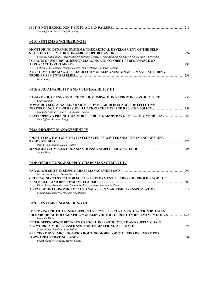| Tim Heppenheimer, Craig Downing |  |
|---------------------------------|--|

# **F01C SYSTEMS ENGINEERING II**

| MONITORING DYNAMIC SYSTEMS: THEORETICAL DEVELOPMENT OF THE SELF-                                 |  |
|--------------------------------------------------------------------------------------------------|--|
|                                                                                                  |  |
| Leonidas Guadalupe, Victor Gustavo Tercero Gomez, Alvaro Eduardo Cordero-Franco, Mario Beruvides |  |
| <b>IMPACTS OF EMPIRICAL DESIGN MARGINS AND ON-ORBIT PERFORMANCE ON</b>                           |  |
|                                                                                                  |  |
| Felicia Jones-Selden, Thomas Holzer, Tim Eveleigh, Shahryar Sarkani                              |  |
| A SYSTEMS THINKING APPROACH FOR MODELING SUSTAINABLE MANUFACTURING                               |  |
|                                                                                                  |  |
| Hao Zhang                                                                                        |  |

#### **F01E SUSTAINABILITY AND VULNERABILITY III**

| <b>PASSIVE SOLAR ENERGY TECHNOLOGY: IMPACT ON ENERGY INFRASTRUCTURE  250</b>   |  |
|--------------------------------------------------------------------------------|--|
| Cory Brennan                                                                   |  |
| <b>TOWARD A SUSTAINABLE, SMARTER POWER GRID: IN SEARCH OF EFFECTIVE</b>        |  |
|                                                                                |  |
| Eduardo Cotilla-Sanchez, Chinweike Eseonu                                      |  |
| <b>DEVELOPING A PREDICTION MODEL FOR THE ADOPTION OF ELECTRIC VEHICLES 269</b> |  |
| Ona Egbue, Suzanna Long                                                        |  |

#### **F02A PROJECT MANAGEMENT IV**

| <b>IDENTIFYING FACTORS THAT INFLUENCED PERCEIVED OUALITY IN ENGINEERING</b> |       |
|-----------------------------------------------------------------------------|-------|
|                                                                             | -276  |
| Paul Componation, Helena Salles                                             |       |
|                                                                             | - 285 |
| James Holt                                                                  |       |

# **F02B OPERATIONS & SUPPLY CHAIN MANAGEMENT IV**

| Goknur Arzu Akyuz, Guner Gursoy                                               |  |
|-------------------------------------------------------------------------------|--|
| <b>CRITICAL SUCCESS FACTOR FOR LSS DEPLOYMENT: LEADERSHIP PROFILE FOR THE</b> |  |
|                                                                               |  |
| Diana Lopez-Soto, Carmen Temblador-Perez, Alberto Hernandez-Luna              |  |
|                                                                               |  |
| Furkan Oztanriseven, Heather Nachtmann                                        |  |

#### **F02C SYSTEMS ENGINEERING III**

| <b>IMPROVING CRITICAL INFRASTRUCTURE CYBER SECURITY PROTECTION BY USING</b> |  |
|-----------------------------------------------------------------------------|--|
|                                                                             |  |
| Latechia White                                                              |  |
| <b>INTER-DEPENDENCY BETWEEN CRITICAL INFRASTRUCTURE AND SUPPLY CHAIN</b>    |  |
|                                                                             |  |
| Varun Ramachandran, Lori Miller                                             |  |
| <b>EFFICIENT DYNAMIC LOGISTICS ROUTING MODEL OF UTILITIES DELIVERY FOR</b>  |  |
|                                                                             |  |
| Bhanuchander Poreddy, Steven Corns                                          |  |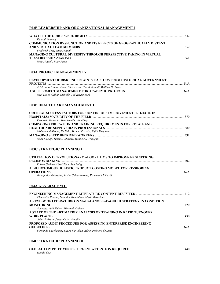# **F02E LEADERSHIP AND ORGANIZATIONAL MANAGEMENT I**

| Donald Kennedy                                                             |      |
|----------------------------------------------------------------------------|------|
| <b>COMMUNICATION DYSFUNCTION AND ITS EFFECTS OF GEOGRAPHICALLY DISTANT</b> |      |
|                                                                            |      |
| Frederick Sexe, Luna Magpili                                               |      |
| MANAGING CULTURAL DIVERSITY THROUGH PERSPECTIVE TAKING IN VIRTUAL          |      |
|                                                                            | -361 |
| Nina Magpili, Pilar Pazos                                                  |      |

#### **F03A PROJECT MANAGEMENT V**

| DEVELOPMENT OF RISK UNCERTAINTY FACTORS FROM HISTORICAL GOVERNMENT      |     |
|-------------------------------------------------------------------------|-----|
|                                                                         | N/A |
| Ariel Pinto. Tahani Amer. Pilar Pazos. Ghaith Rabadi. William H. Jarvis |     |
|                                                                         |     |
| Neal Lewis, Gillian Nicholls, Ted Eschenbach                            |     |

#### **F03B HEALTHCARE MANAGEMENT I**

| <b>CRITICAL SUCCESS FACTORS FOR CONTINUOUS IMPROVEMENT PROJECTS IN</b> |  |
|------------------------------------------------------------------------|--|
|                                                                        |  |
| Fernando Gonzalez Aleu, Heather Keathley                               |  |
| <b>COMPARING EDUCATION AND TRAINING REQUIREMENTS FOR RETAIL AND</b>    |  |
|                                                                        |  |
| Mohammad Shbool, Ed Pohl, Manuel Rossetti, Vijith Varghese             |  |
|                                                                        |  |
| Neda Khalafi, Susan L. Murray, Matthew S. Thimgan                      |  |

# **F03C STRATEGIC PLANNING I**

| UTILIZATION OF EVOLUTIONARY ALGORITHMS TO IMPROVE ENGINEERING |      |
|---------------------------------------------------------------|------|
|                                                               | -402 |
| Robert Gerhart, Hiral Shah, Ben Baliga                        |      |
| A DICHOTOMOUS HOLISTIC PRODUCT COSTING MODEL FOR RE-SHORING   |      |
|                                                               |      |
| Ganapathy Natarajan, Javier Calvo-Amodio, Viswanath P Kashi   |      |

#### **F04A GENERAL EM II**

| Chinweike Eseonu, Leonidas Guadalupe, Mario Beruvides                |  |
|----------------------------------------------------------------------|--|
| A REVIEW OF LITERATURE ON MAHALANOBIS-TAGUCHI STRATEGY IN CONDITION  |  |
|                                                                      |  |
| Adebolaji Jobi-Taiwo, Elizabeth Cudney                               |  |
| A STATE OF THE ART MATRIX ANALYSIS ON TRAINING IN RAPID TURNOVER     |  |
|                                                                      |  |
| John McGrath, Javier Calvo-Amodio                                    |  |
| <b>PROPOSED AUDIT PROCEDURE FOR ASSESSING ENTERPRISE ENGINEERING</b> |  |
|                                                                      |  |
| Fernando Deschamps, Eileen Van Aken, Edson Pinheiro de Lima          |  |

#### **F04C STRATEGIC PLANNING II**

| Ronald Cox |  |
|------------|--|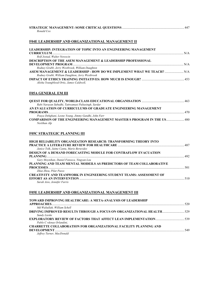| Ronald Cox |  |
|------------|--|

# **F04E LEADERSHIP AND ORGANIZATIONAL MANAGEMENT II**

# **LEADERSHIP: INTEGRATION OF TOPIC INTO AN ENGINEERING MANAGEMENT**

| Rolf Jostad, Walter Nowocin                                             |  |
|-------------------------------------------------------------------------|--|
| <b>DESCRIPTION OF THE ASEM MANAGEMENT &amp; LEADERSHIP PROFESSIONAL</b> |  |
|                                                                         |  |
| Rodney Grubb, Jerry Westbrook, William Daughton                         |  |
|                                                                         |  |
| Rodney Grubb, William Daughton, Jerry Westbrook                         |  |
|                                                                         |  |
| Alisha Youngblood Ortiz, James Caldwell,                                |  |

#### **F05A GENERAL EM III**

| Rabi Narayan Subudhi, Tattwamasi Paltasingh, Sardar                                            |  |
|------------------------------------------------------------------------------------------------|--|
| AN EVALUATION OF CURRICULUMS OF GRADUATE ENGINEERING MANAGEMENT                                |  |
|                                                                                                |  |
| Pouya Dehghani, Leone Young, Jimmy Gandhi, John Farr                                           |  |
| <b>COMPARISON OF THE ENGINEERING MANAGEMENT MASTER S PROGRAM IN THE US 480</b><br>Neslihan Alp |  |

#### **F05C STRATEGIC PLANNING III**

| HIGH RELIABILITY ORGANIZATION RESEARCH: TRANSFORMING THEORY INTO           |  |
|----------------------------------------------------------------------------|--|
|                                                                            |  |
| Janice Tolk, Jaime Cantu, Mario Beruvides                                  |  |
| DESIGN OF A DEMAND FORECASTING MODULE FOR CONTRAFLOW EVACUATION            |  |
|                                                                            |  |
| Gary Moynihan, Daniel Fonseca, Yingyan Lou                                 |  |
| PLANNING AND TEAM MENTAL MODEILS AS PREDICTORS OF TEAM COLLABORATIVE       |  |
|                                                                            |  |
| Zikai Zhou. Pilar Pazos                                                    |  |
| <b>CREATIVITY AND TEAMWORK IN ENGINEERING STUDENT TEAMS: ASSESSMENT OF</b> |  |
|                                                                            |  |
|                                                                            |  |

*Sarah Asio, Jennifer Farris* 

# **F05E LEADERSHIP AND ORGANIZATIONAL MANAGEMENT III**

| <b>TOWARD IMPROVING HEALTHCARE: A META-ANALYSIS OF LEADERSHIP</b>       |  |
|-------------------------------------------------------------------------|--|
|                                                                         |  |
| Md Waliullah, William Schell                                            |  |
|                                                                         |  |
| Sandy Lieske                                                            |  |
|                                                                         |  |
| Pablo C rdenas Orlandini.                                               |  |
| <b>CHARRETTE COLLABORATION FOR ORGANIZATIONAL FACILITY PLANNING AND</b> |  |
|                                                                         |  |
| Jeffrey Turner, MacDonald                                               |  |
|                                                                         |  |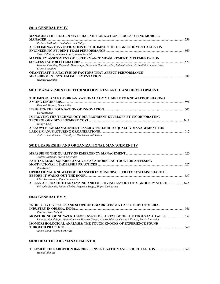# **S01A GENERAL EM IV**

| MANAGING THE RETURN MATERIAL AUTHORIZATION PROCESS USING MODULE                                                                                                                |  |
|--------------------------------------------------------------------------------------------------------------------------------------------------------------------------------|--|
| Richard LaBorde, Hiral Shah, Ben Baliga                                                                                                                                        |  |
| A PRELIMINARY INVESTIGATION OF THE IMPACT OF DEGREE OF VIRTUALITY ON                                                                                                           |  |
|                                                                                                                                                                                |  |
| Tara Welborne, Jennifer Farris, Jimmy Gandhi                                                                                                                                   |  |
| MATURITY ASSESSMENT OF PERFORMANCE MEASUREMENT IMPLEMENTATION                                                                                                                  |  |
| Heather Keathley, Fernando Deschamps, Fernando Gonzalez Aleu, Pablo C rdenas Orlandini, Luciana Leite,<br>Eileen Van Aken                                                      |  |
| <b>QUANTITATIVE ANALYSIS OF FACTORS THAT AFFECT PERFORMANCE</b>                                                                                                                |  |
| Heather Keathlev                                                                                                                                                               |  |
| S01C MANAGEMENT OF TECHNOLOGY, RESEARCH, AND DEVELOPMENT                                                                                                                       |  |
| THE IMPORTANCE OF ORGANIZATIONAL COMMITMENT TO KNOWLEDGE SHARING                                                                                                               |  |
|                                                                                                                                                                                |  |
| Deborah Howell, Dawn Utley                                                                                                                                                     |  |
| <b>Ed McMahon</b>                                                                                                                                                              |  |
| <b>IMPROVING THE TECHNOLOGY DEVELOPMENT ENVELOPE BY INCORPORATING</b>                                                                                                          |  |
| Hongyi Chen                                                                                                                                                                    |  |
| A KNOWLEDGE MANAGEMENT BASED APPROACH TO QUALITY MANAGEMENT FOR                                                                                                                |  |
| Andreas Garstenauer, Timothy D. Blackburn, Bill Olson                                                                                                                          |  |
|                                                                                                                                                                                |  |
| S01E LEADERSHIP AND ORGANIZATIONAL MANAGEMENT IV                                                                                                                               |  |
|                                                                                                                                                                                |  |
|                                                                                                                                                                                |  |
| Andrea Jackman, Mario Beruvides                                                                                                                                                |  |
| PARTIAL LEAST SOUARES ANALYSIS AS A MODELING TOOL FOR ASSESSING                                                                                                                |  |
|                                                                                                                                                                                |  |
| Rob Koonce                                                                                                                                                                     |  |
| OPERATIONAL KNOWLEDGE TRANSFER IN MUNICIPAL UTILITY SYSTEMS: SHARE IT                                                                                                          |  |
| Chris Guvernator, Rafael Landaeta                                                                                                                                              |  |
| A LEAN APPROACH TO ANALYZING AND IMPROVING LAYOUT OF A GROCERY STORE N/A<br>Priyanka Ramdin, Rujuta Choksi, Priyanka Mogal, Shipra Shrivastava                                 |  |
| S02A GENERAL EM V                                                                                                                                                              |  |
| PRODUCTIVITY ISSUES AND SCOPE OF E-MARKETING: A CASE STUDY OF MEDIA-                                                                                                           |  |
|                                                                                                                                                                                |  |
| Rabi Narayan Subudhi                                                                                                                                                           |  |
| MONITORING OF NON-ZERO SLOPE SYSTEMS: A REVIEW OF THE TOOLS AVAILABLE  652<br>Leonidas Guadalupe, Victor Gustavo Tercero Gomez, Alvaro Eduardo Cordero-Franco, Mario Beruvides |  |
| ISOMORPHOLOGICAL ANALYSIS: THE TOUGH KNOCKS OF EXPERIENCE FOUND                                                                                                                |  |
|                                                                                                                                                                                |  |
| Jaime Cantu, Mario Beruvides                                                                                                                                                   |  |
|                                                                                                                                                                                |  |
| S02B HEALTHCARE MANAGEMENT II                                                                                                                                                  |  |

**TELEMEDICINE ADOPTION BARRIERS: INVESTIGATION AND PRIORITIZATION**................................... 668 *Hamad Alanazi*